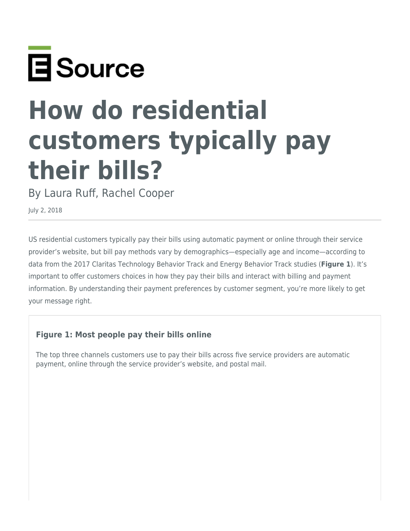

# **How do residential customers typically pay their bills?**

By Laura Ruff, Rachel Cooper

July 2, 2018

US residential customers typically pay their bills using automatic payment or online through their service provider's website, but bill pay methods vary by demographics—especially age and income—according to data from the 2017 Claritas Technology Behavior Track and Energy Behavior Track studies (**Figure 1**). It's important to offer customers choices in how they pay their bills and interact with billing and payment information. By understanding their payment preferences by customer segment, you're more likely to get your message right.

# **Figure 1: Most people pay their bills online**

The top three channels customers use to pay their bills across five service providers are automatic payment, online through the service provider's website, and postal mail.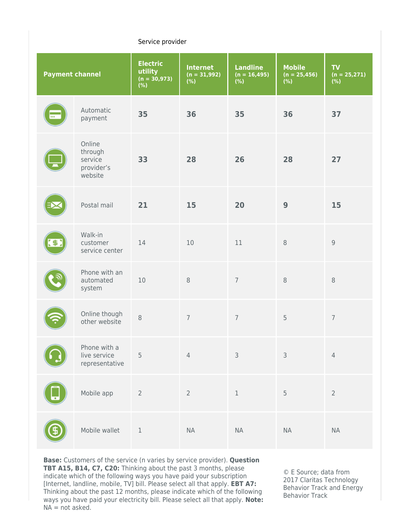#### Service provider

| <b>Payment channel</b> |                                                       | <b>Electric</b><br>utility<br>$(n = 30,973)$<br>(%) | <b>Internet</b><br>$(n = 31,992)$<br>(%) | <b>Landline</b><br>$(n = 16,495)$<br>(%) | <b>Mobile</b><br>$(n = 25,456)$<br>(%) | <b>TV</b><br>$(n = 25,271)$<br>(%) |
|------------------------|-------------------------------------------------------|-----------------------------------------------------|------------------------------------------|------------------------------------------|----------------------------------------|------------------------------------|
| $\overline{}$          | Automatic<br>payment                                  | 35                                                  | 36                                       | 35                                       | 36                                     | 37                                 |
|                        | Online<br>through<br>service<br>provider's<br>website | 33                                                  | 28                                       | 26                                       | 28                                     | 27                                 |
|                        | Postal mail                                           | 21                                                  | 15                                       | 20                                       | 9                                      | 15                                 |
| 【事】                    | Walk-in<br>customer<br>service center                 | 14                                                  | $10$                                     | 11                                       | $\,8\,$                                | $9\,$                              |
|                        | Phone with an<br>automated<br>system                  | 10                                                  | $\,8\,$                                  | $\overline{7}$                           | $\,8\,$                                | $\,8\,$                            |
|                        | Online though<br>other website                        | $\,8\,$                                             | $\overline{7}$                           | $\overline{7}$                           | 5                                      | $\overline{7}$                     |
|                        | Phone with a<br>live service<br>representative        | 5                                                   | $\overline{4}$                           | $\mathsf 3$                              | 3                                      | $\sqrt{4}$                         |
|                        | Mobile app                                            | $\sqrt{2}$                                          | $\overline{2}$                           | $\mathbf 1$                              | 5                                      | $\overline{2}$                     |
|                        | Mobile wallet                                         | $\mathbf 1$                                         | <b>NA</b>                                | <b>NA</b>                                | <b>NA</b>                              | $\sf NA$                           |

**Base:** Customers of the service (n varies by service provider). **Question TBT A15, B14, C7, C20:** Thinking about the past 3 months, please indicate which of the following ways you have paid your subscription [Internet, landline, mobile, TV] bill. Please select all that apply. **EBT A7:** Thinking about the past 12 months, please indicate which of the following ways you have paid your electricity bill. Please select all that apply. **Note:**  $NA = not asked.$ 

© E Source; data from 2017 Claritas Technology Behavior Track and Energy Behavior Track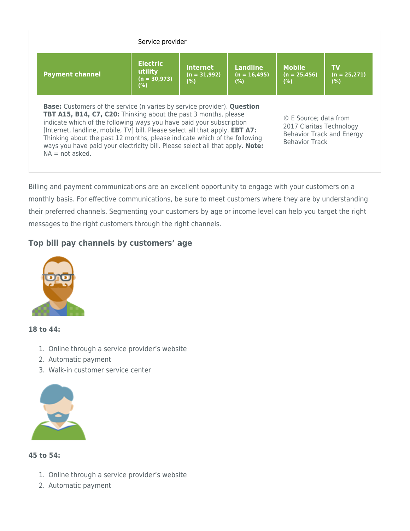| Service provider                                                                                                                                                                                                                                                                                                                                                                                                                                                                                                                                                                                                              |                                                     |                                           |                                   |                                        |                                    |  |  |
|-------------------------------------------------------------------------------------------------------------------------------------------------------------------------------------------------------------------------------------------------------------------------------------------------------------------------------------------------------------------------------------------------------------------------------------------------------------------------------------------------------------------------------------------------------------------------------------------------------------------------------|-----------------------------------------------------|-------------------------------------------|-----------------------------------|----------------------------------------|------------------------------------|--|--|
| <b>Payment channel</b>                                                                                                                                                                                                                                                                                                                                                                                                                                                                                                                                                                                                        | <b>Electric</b><br>utility<br>$(n = 30,973)$<br>(%) | <b>Internet</b><br>$(n = 31,992)$<br>(% ) | Landline<br>$(n = 16,495)$<br>(%) | <b>Mobile</b><br>$(n = 25,456)$<br>(%) | <b>TV</b><br>$(n = 25,271)$<br>(%) |  |  |
| <b>Base:</b> Customers of the service (n varies by service provider). <b>Question</b><br><b>TBT A15, B14, C7, C20:</b> Thinking about the past 3 months, please<br>© E Source; data from<br>indicate which of the following ways you have paid your subscription<br>2017 Claritas Technology<br>[Internet, landline, mobile, TV] bill. Please select all that apply. EBT A7:<br><b>Behavior Track and Energy</b><br>Thinking about the past 12 months, please indicate which of the following<br><b>Behavior Track</b><br>ways you have paid your electricity bill. Please select all that apply. Note:<br>$NA = not asked$ . |                                                     |                                           |                                   |                                        |                                    |  |  |

Billing and payment communications are an excellent opportunity to engage with your customers on a monthly basis. For effective communications, be sure to meet customers where they are by understanding their preferred channels. Segmenting your customers by age or income level can help you target the right messages to the right customers through the right channels.

# **Top bill pay channels by customers' age**



#### **18 to 44:**

- 1. Online through a service provider's website
- 2. Automatic payment
- 3. Walk-in customer service center



## **45 to 54:**

- 1. Online through a service provider's website
- 2. Automatic payment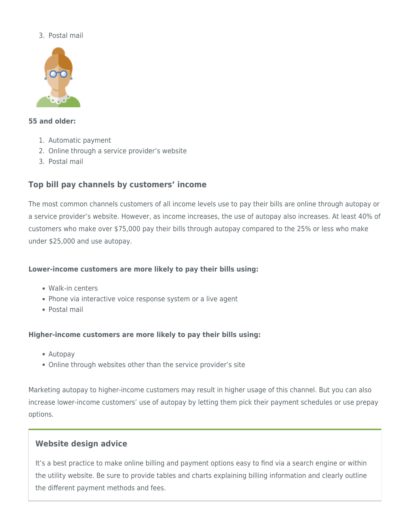## 3. Postal mail



#### **55 and older:**

- 1. Automatic payment
- 2. Online through a service provider's website
- 3. Postal mail

# **Top bill pay channels by customers' income**

The most common channels customers of all income levels use to pay their bills are online through autopay or a service provider's website. However, as income increases, the use of autopay also increases. At least 40% of customers who make over \$75,000 pay their bills through autopay compared to the 25% or less who make under \$25,000 and use autopay.

# **Lower-income customers are more likely to pay their bills using:**

- Walk-in centers
- Phone via interactive voice response system or a live agent
- Postal mail

## **Higher-income customers are more likely to pay their bills using:**

- Autopay
- Online through websites other than the service provider's site

Marketing autopay to higher-income customers may result in higher usage of this channel. But you can also increase lower-income customers' use of autopay by letting them pick their payment schedules or use prepay options.

# **Website design advice**

It's a best practice to make online billing and payment options easy to find via a search engine or within the utility website. Be sure to provide tables and charts explaining billing information and clearly outline the different payment methods and fees.